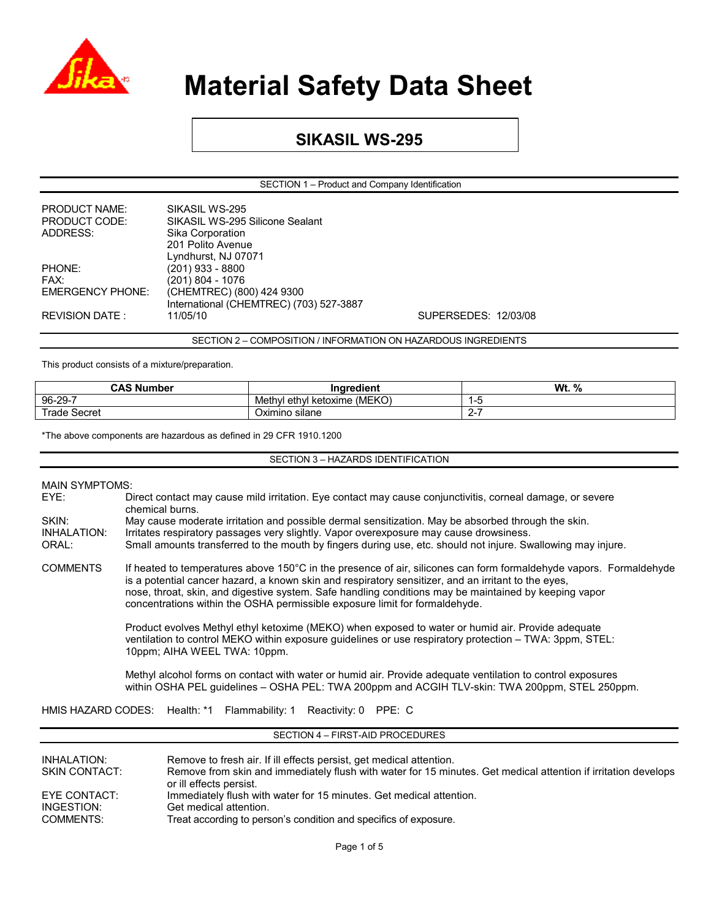

### **SIKASIL WS-295**

SECTION 1 – Product and Company Identification

| <b>PRODUCT NAME:</b>    | SIKASIL WS-295                          |                      |
|-------------------------|-----------------------------------------|----------------------|
| PRODUCT CODE:           | SIKASIL WS-295 Silicone Sealant         |                      |
| ADDRESS:                | Sika Corporation                        |                      |
|                         | 201 Polito Avenue                       |                      |
|                         | Lyndhurst, NJ 07071                     |                      |
| PHONE:                  | (201) 933 - 8800                        |                      |
| FAX:                    | (201) 804 - 1076                        |                      |
| <b>EMERGENCY PHONE:</b> | (CHEMTREC) (800) 424 9300               |                      |
|                         | International (CHEMTREC) (703) 527-3887 |                      |
| REVISION DATE :         | 11/05/10                                | SUPERSEDES: 12/03/08 |
|                         |                                         |                      |

SECTION 2 – COMPOSITION / INFORMATION ON HAZARDOUS INGREDIENTS

This product consists of a mixture/preparation.

| <b>CAS Number</b> | $\sim$<br>Ingredient         | Wt.<br>% |
|-------------------|------------------------------|----------|
| 96-29-7           | Methyl ethyl ketoxime (MEKO) |          |
| ⊺rade \<br>Secret | <br>Oximino silane           | <u>_</u> |

\*The above components are hazardous as defined in 29 CFR 1910.1200

SECTION 3 – HAZARDS IDENTIFICATION

#### MAIN SYMPTOMS:

| EYE:  | Direct contact may cause mild irritation. Eye contact may cause conjunctivitis, corneal damage, or severe |
|-------|-----------------------------------------------------------------------------------------------------------|
|       | chemical burns.                                                                                           |
| SKIN: | May cause moderate irritation and possible dermal sensitization. May be absorbed through the skin.        |

INHALATION: Irritates respiratory passages very slightly. Vapor overexposure may cause drowsiness.<br>ORAL: Small amounts transferred to the mouth by fingers during use, etc. should not iniure. Sw Small amounts transferred to the mouth by fingers during use, etc. should not injure. Swallowing may injure.

COMMENTS If heated to temperatures above 150°C in the presence of air, silicones can form formaldehyde vapors. Formaldehyde is a potential cancer hazard, a known skin and respiratory sensitizer, and an irritant to the eyes, nose, throat, skin, and digestive system. Safe handling conditions may be maintained by keeping vapor concentrations within the OSHA permissible exposure limit for formaldehyde.

> Product evolves Methyl ethyl ketoxime (MEKO) when exposed to water or humid air. Provide adequate ventilation to control MEKO within exposure guidelines or use respiratory protection – TWA: 3ppm, STEL: 10ppm; AIHA WEEL TWA: 10ppm.

Methyl alcohol forms on contact with water or humid air. Provide adequate ventilation to control exposures within OSHA PEL guidelines – OSHA PEL: TWA 200ppm and ACGIH TLV-skin: TWA 200ppm, STEL 250ppm.

HMIS HAZARD CODES: Health: \*1 Flammability: 1 Reactivity: 0 PPE: C

#### SECTION 4 – FIRST-AID PROCEDURES

| Immediately flush with water for 15 minutes. Get medical attention.<br>EYE CONTACT:<br>INGESTION:<br>Get medical attention. | INHALATION:<br><b>SKIN CONTACT:</b> | Remove to fresh air. If ill effects persist, get medical attention.<br>Remove from skin and immediately flush with water for 15 minutes. Get medical attention if irritation develops<br>or ill effects persist. |
|-----------------------------------------------------------------------------------------------------------------------------|-------------------------------------|------------------------------------------------------------------------------------------------------------------------------------------------------------------------------------------------------------------|
|                                                                                                                             | COMMENTS:                           | Treat according to person's condition and specifics of exposure.                                                                                                                                                 |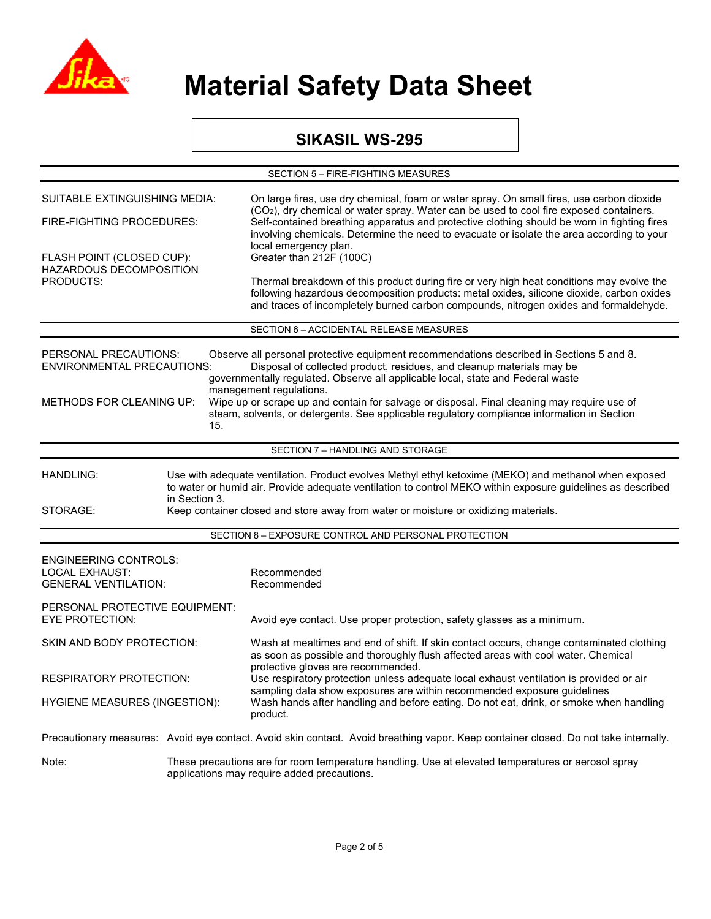

### **SIKASIL WS-295**

| SECTION 5 - FIRE-FIGHTING MEASURES                                                                                                                                                                                                                                                                                                                                                                                                                                                                                                                                                    |                                                                                                                                                   |                                                                                                                                                                                                                                                                                                                          |  |  |  |
|---------------------------------------------------------------------------------------------------------------------------------------------------------------------------------------------------------------------------------------------------------------------------------------------------------------------------------------------------------------------------------------------------------------------------------------------------------------------------------------------------------------------------------------------------------------------------------------|---------------------------------------------------------------------------------------------------------------------------------------------------|--------------------------------------------------------------------------------------------------------------------------------------------------------------------------------------------------------------------------------------------------------------------------------------------------------------------------|--|--|--|
| SUITABLE EXTINGUISHING MEDIA:                                                                                                                                                                                                                                                                                                                                                                                                                                                                                                                                                         |                                                                                                                                                   | On large fires, use dry chemical, foam or water spray. On small fires, use carbon dioxide                                                                                                                                                                                                                                |  |  |  |
| FIRE-FIGHTING PROCEDURES:                                                                                                                                                                                                                                                                                                                                                                                                                                                                                                                                                             |                                                                                                                                                   | (CO <sub>2</sub> ), dry chemical or water spray. Water can be used to cool fire exposed containers.<br>Self-contained breathing apparatus and protective clothing should be worn in fighting fires<br>involving chemicals. Determine the need to evacuate or isolate the area according to your<br>local emergency plan. |  |  |  |
| FLASH POINT (CLOSED CUP):<br>HAZARDOUS DECOMPOSITION                                                                                                                                                                                                                                                                                                                                                                                                                                                                                                                                  |                                                                                                                                                   | Greater than 212F (100C)                                                                                                                                                                                                                                                                                                 |  |  |  |
| <b>PRODUCTS:</b>                                                                                                                                                                                                                                                                                                                                                                                                                                                                                                                                                                      |                                                                                                                                                   | Thermal breakdown of this product during fire or very high heat conditions may evolve the<br>following hazardous decomposition products: metal oxides, silicone dioxide, carbon oxides<br>and traces of incompletely burned carbon compounds, nitrogen oxides and formaldehyde.                                          |  |  |  |
|                                                                                                                                                                                                                                                                                                                                                                                                                                                                                                                                                                                       |                                                                                                                                                   | SECTION 6 - ACCIDENTAL RELEASE MEASURES                                                                                                                                                                                                                                                                                  |  |  |  |
| PERSONAL PRECAUTIONS:<br>Observe all personal protective equipment recommendations described in Sections 5 and 8.<br>Disposal of collected product, residues, and cleanup materials may be<br><b>ENVIRONMENTAL PRECAUTIONS:</b><br>governmentally regulated. Observe all applicable local, state and Federal waste<br>management regulations.<br>Wipe up or scrape up and contain for salvage or disposal. Final cleaning may require use of<br><b>METHODS FOR CLEANING UP:</b><br>steam, solvents, or detergents. See applicable regulatory compliance information in Section<br>15. |                                                                                                                                                   |                                                                                                                                                                                                                                                                                                                          |  |  |  |
|                                                                                                                                                                                                                                                                                                                                                                                                                                                                                                                                                                                       |                                                                                                                                                   | SECTION 7 - HANDLING AND STORAGE                                                                                                                                                                                                                                                                                         |  |  |  |
| Use with adequate ventilation. Product evolves Methyl ethyl ketoxime (MEKO) and methanol when exposed<br><b>HANDLING:</b><br>to water or humid air. Provide adequate ventilation to control MEKO within exposure guidelines as described<br>in Section 3.<br>STORAGE:<br>Keep container closed and store away from water or moisture or oxidizing materials.                                                                                                                                                                                                                          |                                                                                                                                                   |                                                                                                                                                                                                                                                                                                                          |  |  |  |
| SECTION 8 - EXPOSURE CONTROL AND PERSONAL PROTECTION                                                                                                                                                                                                                                                                                                                                                                                                                                                                                                                                  |                                                                                                                                                   |                                                                                                                                                                                                                                                                                                                          |  |  |  |
| <b>ENGINEERING CONTROLS:</b><br><b>LOCAL EXHAUST:</b><br><b>GENERAL VENTILATION:</b>                                                                                                                                                                                                                                                                                                                                                                                                                                                                                                  |                                                                                                                                                   | Recommended<br>Recommended                                                                                                                                                                                                                                                                                               |  |  |  |
| PERSONAL PROTECTIVE EQUIPMENT:<br><b>EYE PROTECTION:</b>                                                                                                                                                                                                                                                                                                                                                                                                                                                                                                                              |                                                                                                                                                   | Avoid eye contact. Use proper protection, safety glasses as a minimum.                                                                                                                                                                                                                                                   |  |  |  |
| SKIN AND BODY PROTECTION:                                                                                                                                                                                                                                                                                                                                                                                                                                                                                                                                                             |                                                                                                                                                   | Wash at mealtimes and end of shift. If skin contact occurs, change contaminated clothing<br>as soon as possible and thoroughly flush affected areas with cool water. Chemical                                                                                                                                            |  |  |  |
| RESPIRATORY PROTECTION:                                                                                                                                                                                                                                                                                                                                                                                                                                                                                                                                                               |                                                                                                                                                   | protective gloves are recommended.<br>Use respiratory protection unless adequate local exhaust ventilation is provided or air                                                                                                                                                                                            |  |  |  |
| <b>HYGIENE MEASURES (INGESTION):</b>                                                                                                                                                                                                                                                                                                                                                                                                                                                                                                                                                  |                                                                                                                                                   | sampling data show exposures are within recommended exposure guidelines<br>Wash hands after handling and before eating. Do not eat, drink, or smoke when handling<br>product.                                                                                                                                            |  |  |  |
|                                                                                                                                                                                                                                                                                                                                                                                                                                                                                                                                                                                       |                                                                                                                                                   | Precautionary measures: Avoid eye contact. Avoid skin contact. Avoid breathing vapor. Keep container closed. Do not take internally.                                                                                                                                                                                     |  |  |  |
| Note:                                                                                                                                                                                                                                                                                                                                                                                                                                                                                                                                                                                 | These precautions are for room temperature handling. Use at elevated temperatures or aerosol spray<br>applications may require added precautions. |                                                                                                                                                                                                                                                                                                                          |  |  |  |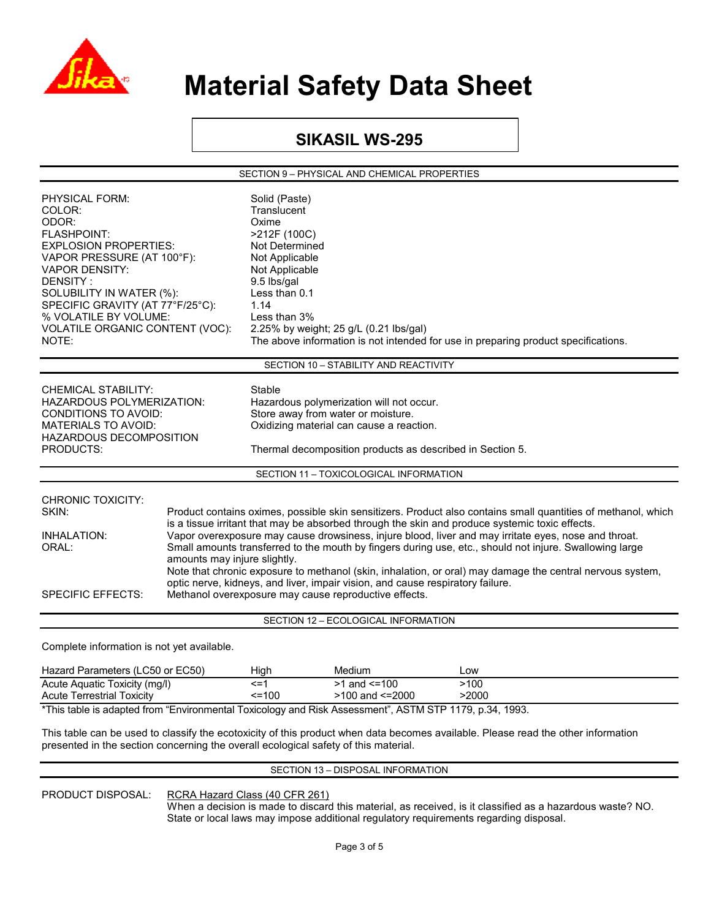

### **SIKASIL WS-295**

SECTION 9 – PHYSICAL AND CHEMICAL PROPERTIES

| PHYSICAL FORM:<br>COLOR:<br>ODOR:<br><b>FLASHPOINT:</b><br><b>EXPLOSION PROPERTIES:</b><br>VAPOR PRESSURE (AT 100°F):<br><b>VAPOR DENSITY:</b><br>DENSITY:<br>SOLUBILITY IN WATER (%):<br>SPECIFIC GRAVITY (AT 77°F/25°C):<br>% VOLATILE BY VOLUME:<br>VOLATILE ORGANIC CONTENT (VOC):<br>NOTE:                                                                                                                                                                                                                                                                                                                                                                                                                                                                                                                            |  | Solid (Paste)<br>Translucent<br>Oxime<br>>212F (100C)<br>Not Determined<br>Not Applicable<br>Not Applicable<br>9.5 lbs/gal<br>Less than 0.1<br>1.14<br>Less than 3%                               | 2.25% by weight; 25 g/L (0.21 lbs/gal) | The above information is not intended for use in preparing product specifications. |  |
|----------------------------------------------------------------------------------------------------------------------------------------------------------------------------------------------------------------------------------------------------------------------------------------------------------------------------------------------------------------------------------------------------------------------------------------------------------------------------------------------------------------------------------------------------------------------------------------------------------------------------------------------------------------------------------------------------------------------------------------------------------------------------------------------------------------------------|--|---------------------------------------------------------------------------------------------------------------------------------------------------------------------------------------------------|----------------------------------------|------------------------------------------------------------------------------------|--|
|                                                                                                                                                                                                                                                                                                                                                                                                                                                                                                                                                                                                                                                                                                                                                                                                                            |  |                                                                                                                                                                                                   | SECTION 10 - STABILITY AND REACTIVITY  |                                                                                    |  |
| <b>CHEMICAL STABILITY:</b><br>HAZARDOUS POLYMERIZATION:<br>CONDITIONS TO AVOID:<br><b>MATERIALS TO AVOID:</b><br>HAZARDOUS DECOMPOSITION<br><b>PRODUCTS:</b>                                                                                                                                                                                                                                                                                                                                                                                                                                                                                                                                                                                                                                                               |  | Stable<br>Hazardous polymerization will not occur.<br>Store away from water or moisture.<br>Oxidizing material can cause a reaction.<br>Thermal decomposition products as described in Section 5. |                                        |                                                                                    |  |
|                                                                                                                                                                                                                                                                                                                                                                                                                                                                                                                                                                                                                                                                                                                                                                                                                            |  |                                                                                                                                                                                                   | SECTION 11 - TOXICOLOGICAL INFORMATION |                                                                                    |  |
| <b>CHRONIC TOXICITY:</b><br>SKIN:<br>Product contains oximes, possible skin sensitizers. Product also contains small quantities of methanol, which<br>is a tissue irritant that may be absorbed through the skin and produce systemic toxic effects.<br>Vapor overexposure may cause drowsiness, injure blood, liver and may irritate eyes, nose and throat.<br><b>INHALATION:</b><br>Small amounts transferred to the mouth by fingers during use, etc., should not injure. Swallowing large<br>ORAL:<br>amounts may injure slightly.<br>Note that chronic exposure to methanol (skin, inhalation, or oral) may damage the central nervous system,<br>optic nerve, kidneys, and liver, impair vision, and cause respiratory failure.<br><b>SPECIFIC EFFECTS:</b><br>Methanol overexposure may cause reproductive effects. |  |                                                                                                                                                                                                   |                                        |                                                                                    |  |
|                                                                                                                                                                                                                                                                                                                                                                                                                                                                                                                                                                                                                                                                                                                                                                                                                            |  |                                                                                                                                                                                                   | SECTION 12 - ECOLOGICAL INFORMATION    |                                                                                    |  |
| Complete information is not yet available.                                                                                                                                                                                                                                                                                                                                                                                                                                                                                                                                                                                                                                                                                                                                                                                 |  |                                                                                                                                                                                                   |                                        |                                                                                    |  |
| Hazard Parameters (LC50 or EC50)<br>Acute Aquatic Toxicity (mg/l)                                                                                                                                                                                                                                                                                                                                                                                                                                                                                                                                                                                                                                                                                                                                                          |  | High<br>$\leq$ =1                                                                                                                                                                                 | Medium<br>$>1$ and $<=100$             | Low<br>>100                                                                        |  |

| roato rigadio romony (mg/r)                                                                            |              |                 | .     |  |  |
|--------------------------------------------------------------------------------------------------------|--------------|-----------------|-------|--|--|
| Acute Terrestrial Toxicity                                                                             | $\leq$ = 100 | >100 and <=2000 | >2000 |  |  |
| *This table is adapted from "Environmental Toxicology and Risk Assessment", ASTM STP 1179, p.34, 1993. |              |                 |       |  |  |

This table can be used to classify the ecotoxicity of this product when data becomes available. Please read the other information presented in the section concerning the overall ecological safety of this material.

#### SECTION 13 – DISPOSAL INFORMATION

PRODUCT DISPOSAL: RCRA Hazard Class (40 CFR 261)

 When a decision is made to discard this material, as received, is it classified as a hazardous waste? NO. State or local laws may impose additional regulatory requirements regarding disposal.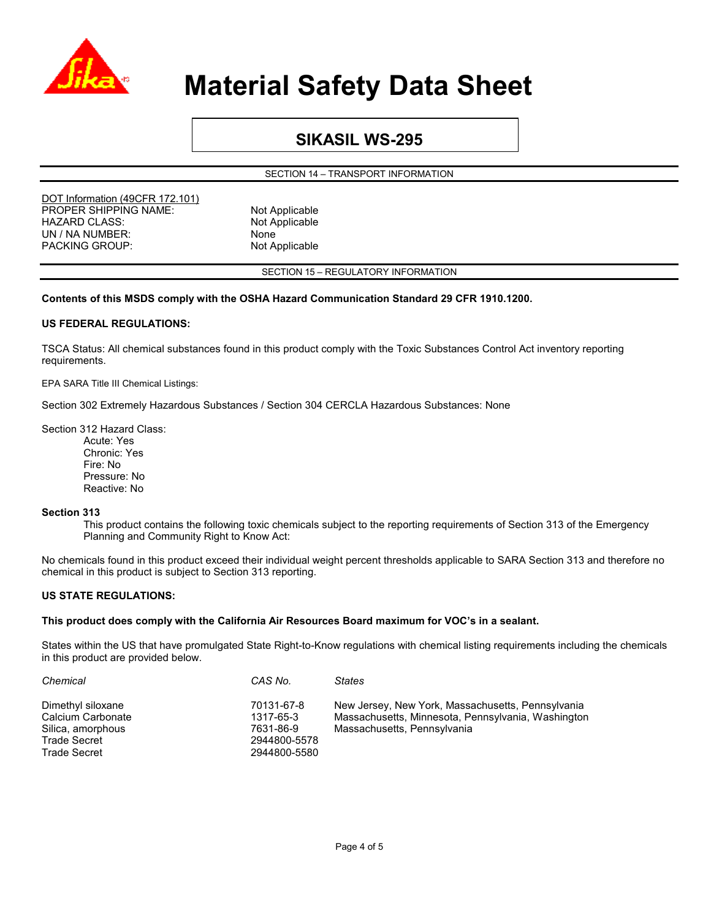

### **SIKASIL WS-295**

SECTION 14 – TRANSPORT INFORMATION

DOT Information (49CFR 172.101) PROPER SHIPPING NAME: Not Applicable HAZARD CLASS: Not Applicable UN / NA NUMBER: None PACKING GROUP: Not Applicable

SECTION 15 – REGULATORY INFORMATION

#### **Contents of this MSDS comply with the OSHA Hazard Communication Standard 29 CFR 1910.1200.**

#### **US FEDERAL REGULATIONS:**

TSCA Status: All chemical substances found in this product comply with the Toxic Substances Control Act inventory reporting requirements.

EPA SARA Title III Chemical Listings:

Section 302 Extremely Hazardous Substances / Section 304 CERCLA Hazardous Substances: None

Section 312 Hazard Class:

Acute: Yes Chronic: Yes Fire: No Pressure: No Reactive: No

#### **Section 313**

This product contains the following toxic chemicals subject to the reporting requirements of Section 313 of the Emergency Planning and Community Right to Know Act:

No chemicals found in this product exceed their individual weight percent thresholds applicable to SARA Section 313 and therefore no chemical in this product is subject to Section 313 reporting.

#### **US STATE REGULATIONS:**

#### **This product does comply with the California Air Resources Board maximum for VOC's in a sealant.**

States within the US that have promulgated State Right-to-Know regulations with chemical listing requirements including the chemicals in this product are provided below.

| Chemical                               | CAS No.                 | <b>States</b>                                                                                           |
|----------------------------------------|-------------------------|---------------------------------------------------------------------------------------------------------|
| Dimethyl siloxane<br>Calcium Carbonate | 70131-67-8<br>1317-65-3 | New Jersey, New York, Massachusetts, Pennsylvania<br>Massachusetts, Minnesota, Pennsylvania, Washington |
| Silica, amorphous                      | 7631-86-9               | Massachusetts, Pennsylvania                                                                             |
| <b>Trade Secret</b>                    | 2944800-5578            |                                                                                                         |
| Trade Secret                           | 2944800-5580            |                                                                                                         |